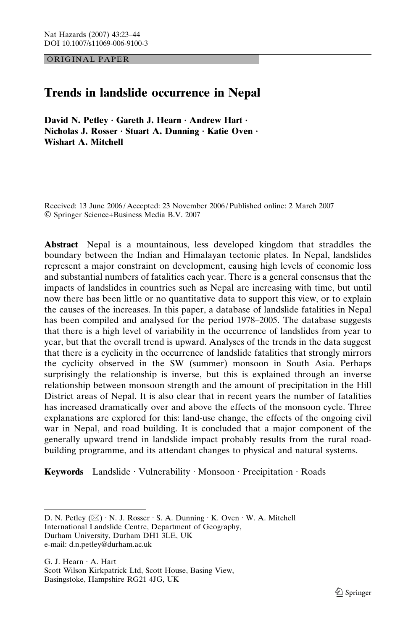ORIGINAL PAPER

# Trends in landslide occurrence in Nepal

David N. Petley  $\cdot$  Gareth J. Hearn  $\cdot$  Andrew Hart  $\cdot$ Nicholas J. Rosser · Stuart A. Dunning · Katie Oven · Wishart A. Mitchell

Received: 13 June 2006 / Accepted: 23 November 2006 / Published online: 2 March 2007 Springer Science+Business Media B.V. 2007

Abstract Nepal is a mountainous, less developed kingdom that straddles the boundary between the Indian and Himalayan tectonic plates. In Nepal, landslides represent a major constraint on development, causing high levels of economic loss and substantial numbers of fatalities each year. There is a general consensus that the impacts of landslides in countries such as Nepal are increasing with time, but until now there has been little or no quantitative data to support this view, or to explain the causes of the increases. In this paper, a database of landslide fatalities in Nepal has been compiled and analysed for the period 1978–2005. The database suggests that there is a high level of variability in the occurrence of landslides from year to year, but that the overall trend is upward. Analyses of the trends in the data suggest that there is a cyclicity in the occurrence of landslide fatalities that strongly mirrors the cyclicity observed in the SW (summer) monsoon in South Asia. Perhaps surprisingly the relationship is inverse, but this is explained through an inverse relationship between monsoon strength and the amount of precipitation in the Hill District areas of Nepal. It is also clear that in recent years the number of fatalities has increased dramatically over and above the effects of the monsoon cycle. Three explanations are explored for this: land-use change, the effects of the ongoing civil war in Nepal, and road building. It is concluded that a major component of the generally upward trend in landslide impact probably results from the rural roadbuilding programme, and its attendant changes to physical and natural systems.

Keywords Landslide Vulnerability Monsoon Precipitation Roads

G. J. Hearn  $\cdot$  A. Hart Scott Wilson Kirkpatrick Ltd, Scott House, Basing View, Basingstoke, Hampshire RG21 4JG, UK

D. N. Petley  $(\boxtimes) \cdot N$ . J. Rosser  $\cdot S$ . A. Dunning  $\cdot K$ . Oven  $\cdot W$ . A. Mitchell International Landslide Centre, Department of Geography, Durham University, Durham DH1 3LE, UK e-mail: d.n.petley@durham.ac.uk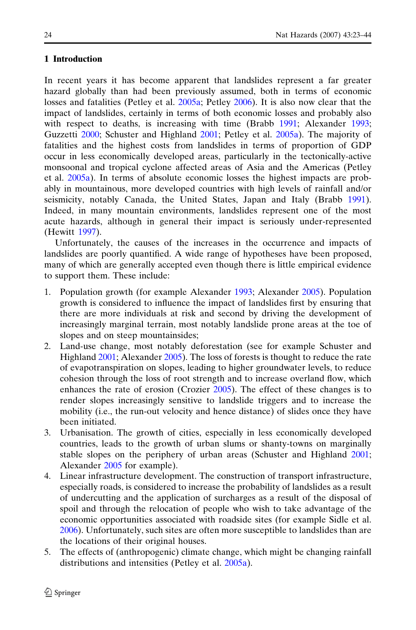# 1 Introduction

In recent years it has become apparent that landslides represent a far greater hazard globally than had been previously assumed, both in terms of economic losses and fatalities (Petley et al. [2005a](#page-20-0); Petley [2006](#page-20-0)). It is also now clear that the impact of landslides, certainly in terms of both economic losses and probably also with respect to deaths, is increasing with time (Brabb [1991](#page-19-0); Alexander [1993](#page-19-0); Guzzetti [2000;](#page-20-0) Schuster and Highland [2001;](#page-20-0) Petley et al. [2005a](#page-20-0)). The majority of fatalities and the highest costs from landslides in terms of proportion of GDP occur in less economically developed areas, particularly in the tectonically-active monsoonal and tropical cyclone affected areas of Asia and the Americas (Petley et al. [2005a](#page-20-0)). In terms of absolute economic losses the highest impacts are probably in mountainous, more developed countries with high levels of rainfall and/or seismicity, notably Canada, the United States, Japan and Italy (Brabb [1991\)](#page-19-0). Indeed, in many mountain environments, landslides represent one of the most acute hazards, although in general their impact is seriously under-represented (Hewitt [1997](#page-20-0)).

Unfortunately, the causes of the increases in the occurrence and impacts of landslides are poorly quantified. A wide range of hypotheses have been proposed, many of which are generally accepted even though there is little empirical evidence to support them. These include:

- 1. Population growth (for example Alexander [1993;](#page-19-0) Alexander [2005](#page-19-0)). Population growth is considered to influence the impact of landslides first by ensuring that there are more individuals at risk and second by driving the development of increasingly marginal terrain, most notably landslide prone areas at the toe of slopes and on steep mountainsides;
- 2. Land-use change, most notably deforestation (see for example Schuster and Highland [2001;](#page-20-0) Alexander [2005](#page-19-0)). The loss of forests is thought to reduce the rate of evapotranspiration on slopes, leading to higher groundwater levels, to reduce cohesion through the loss of root strength and to increase overland flow, which enhances the rate of erosion (Crozier [2005\)](#page-19-0). The effect of these changes is to render slopes increasingly sensitive to landslide triggers and to increase the mobility (i.e., the run-out velocity and hence distance) of slides once they have been initiated.
- 3. Urbanisation. The growth of cities, especially in less economically developed countries, leads to the growth of urban slums or shanty-towns on marginally stable slopes on the periphery of urban areas (Schuster and Highland [2001](#page-20-0); Alexander [2005](#page-19-0) for example).
- 4. Linear infrastructure development. The construction of transport infrastructure, especially roads, is considered to increase the probability of landslides as a result of undercutting and the application of surcharges as a result of the disposal of spoil and through the relocation of people who wish to take advantage of the economic opportunities associated with roadside sites (for example Sidle et al. [2006](#page-21-0)). Unfortunately, such sites are often more susceptible to landslides than are the locations of their original houses.
- 5. The effects of (anthropogenic) climate change, which might be changing rainfall distributions and intensities (Petley et al. [2005a](#page-20-0)).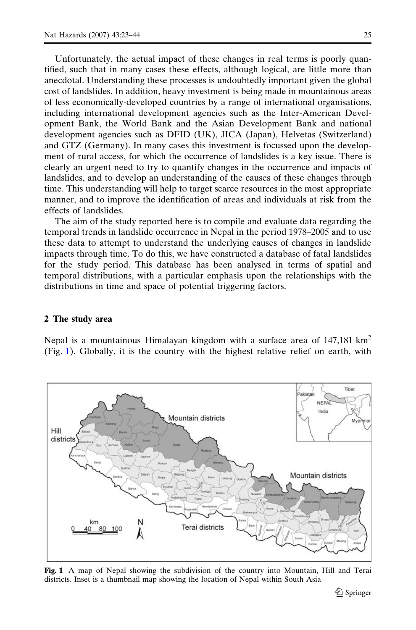<span id="page-2-0"></span>Unfortunately, the actual impact of these changes in real terms is poorly quantified, such that in many cases these effects, although logical, are little more than anecdotal. Understanding these processes is undoubtedly important given the global cost of landslides. In addition, heavy investment is being made in mountainous areas of less economically-developed countries by a range of international organisations, including international development agencies such as the Inter-American Development Bank, the World Bank and the Asian Development Bank and national development agencies such as DFID (UK), JICA (Japan), Helvetas (Switzerland) and GTZ (Germany). In many cases this investment is focussed upon the development of rural access, for which the occurrence of landslides is a key issue. There is clearly an urgent need to try to quantify changes in the occurrence and impacts of landslides, and to develop an understanding of the causes of these changes through time. This understanding will help to target scarce resources in the most appropriate manner, and to improve the identification of areas and individuals at risk from the effects of landslides.

The aim of the study reported here is to compile and evaluate data regarding the temporal trends in landslide occurrence in Nepal in the period 1978–2005 and to use these data to attempt to understand the underlying causes of changes in landslide impacts through time. To do this, we have constructed a database of fatal landslides for the study period. This database has been analysed in terms of spatial and temporal distributions, with a particular emphasis upon the relationships with the distributions in time and space of potential triggering factors.

## 2 The study area

Nepal is a mountainous Himalayan kingdom with a surface area of  $147,181 \text{ km}^2$ (Fig. 1). Globally, it is the country with the highest relative relief on earth, with



Fig. 1 A map of Nepal showing the subdivision of the country into Mountain, Hill and Terai districts. Inset is a thumbnail map showing the location of Nepal within South Asia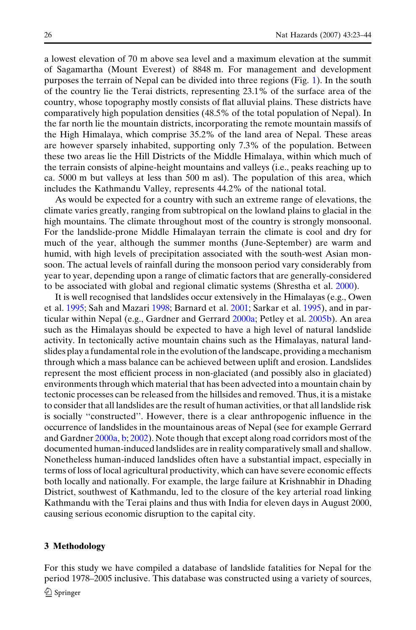a lowest elevation of 70 m above sea level and a maximum elevation at the summit of Sagamartha (Mount Everest) of 8848 m. For management and development purposes the terrain of Nepal can be divided into three regions (Fig. [1\)](#page-2-0). In the south of the country lie the Terai districts, representing 23.1% of the surface area of the country, whose topography mostly consists of flat alluvial plains. These districts have comparatively high population densities (48.5% of the total population of Nepal). In the far north lie the mountain districts, incorporating the remote mountain massifs of the High Himalaya, which comprise 35.2% of the land area of Nepal. These areas are however sparsely inhabited, supporting only 7.3% of the population. Between these two areas lie the Hill Districts of the Middle Himalaya, within which much of the terrain consists of alpine-height mountains and valleys (i.e., peaks reaching up to ca. 5000 m but valleys at less than 500 m asl). The population of this area, which includes the Kathmandu Valley, represents 44.2% of the national total.

As would be expected for a country with such an extreme range of elevations, the climate varies greatly, ranging from subtropical on the lowland plains to glacial in the high mountains. The climate throughout most of the country is strongly monsoonal. For the landslide-prone Middle Himalayan terrain the climate is cool and dry for much of the year, although the summer months (June-September) are warm and humid, with high levels of precipitation associated with the south-west Asian monsoon. The actual levels of rainfall during the monsoon period vary considerably from year to year, depending upon a range of climatic factors that are generally-considered to be associated with global and regional climatic systems (Shrestha et al. [2000\)](#page-21-0).

It is well recognised that landslides occur extensively in the Himalayas (e.g., Owen et al. [1995;](#page-20-0) Sah and Mazari [1998](#page-20-0); Barnard et al. [2001;](#page-19-0) Sarkar et al. [1995](#page-20-0)), and in particular within Nepal (e.g., Gardner and Gerrard [2000a](#page-19-0); Petley et al. [2005b](#page-20-0)). An area such as the Himalayas should be expected to have a high level of natural landslide activity. In tectonically active mountain chains such as the Himalayas, natural landslides play a fundamental role in the evolution of the landscape, providing a mechanism through which a mass balance can be achieved between uplift and erosion. Landslides represent the most efficient process in non-glaciated (and possibly also in glaciated) environments through which material that has been advected into a mountain chain by tectonic processes can be released from the hillsides and removed. Thus, it is a mistake to consider that all landslides are the result of human activities, or that all landslide risk is socially ''constructed''. However, there is a clear anthropogenic influence in the occurrence of landslides in the mountainous areas of Nepal (see for example Gerrard and Gardner [2000a](#page-19-0), [b;](#page-19-0) [2002\)](#page-19-0). Note though that except along road corridors most of the documented human-induced landslides are in reality comparatively small and shallow. Nonetheless human-induced landslides often have a substantial impact, especially in terms of loss of local agricultural productivity, which can have severe economic effects both locally and nationally. For example, the large failure at Krishnabhir in Dhading District, southwest of Kathmandu, led to the closure of the key arterial road linking Kathmandu with the Terai plains and thus with India for eleven days in August 2000, causing serious economic disruption to the capital city.

### 3 Methodology

For this study we have compiled a database of landslide fatalities for Nepal for the period 1978–2005 inclusive. This database was constructed using a variety of sources,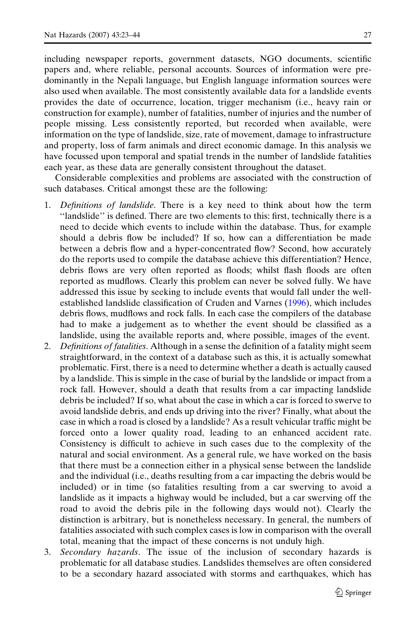including newspaper reports, government datasets, NGO documents, scientific papers and, where reliable, personal accounts. Sources of information were predominantly in the Nepali language, but English language information sources were also used when available. The most consistently available data for a landslide events provides the date of occurrence, location, trigger mechanism (i.e., heavy rain or construction for example), number of fatalities, number of injuries and the number of people missing. Less consistently reported, but recorded when available, were information on the type of landslide, size, rate of movement, damage to infrastructure and property, loss of farm animals and direct economic damage. In this analysis we have focussed upon temporal and spatial trends in the number of landslide fatalities each year, as these data are generally consistent throughout the dataset.

Considerable complexities and problems are associated with the construction of such databases. Critical amongst these are the following:

- 1. Definitions of landslide. There is a key need to think about how the term ''landslide'' is defined. There are two elements to this: first, technically there is a need to decide which events to include within the database. Thus, for example should a debris flow be included? If so, how can a differentiation be made between a debris flow and a hyper-concentrated flow? Second, how accurately do the reports used to compile the database achieve this differentiation? Hence, debris flows are very often reported as floods; whilst flash floods are often reported as mudflows. Clearly this problem can never be solved fully. We have addressed this issue by seeking to include events that would fall under the wellestablished landslide classification of Cruden and Varnes [\(1996](#page-19-0)), which includes debris flows, mudflows and rock falls. In each case the compilers of the database had to make a judgement as to whether the event should be classified as a landslide, using the available reports and, where possible, images of the event.
- 2. Definitions of fatalities. Although in a sense the definition of a fatality might seem straightforward, in the context of a database such as this, it is actually somewhat problematic. First, there is a need to determine whether a death is actually caused by a landslide. This is simple in the case of burial by the landslide or impact from a rock fall. However, should a death that results from a car impacting landslide debris be included? If so, what about the case in which a car is forced to swerve to avoid landslide debris, and ends up driving into the river? Finally, what about the case in which a road is closed by a landslide? As a result vehicular traffic might be forced onto a lower quality road, leading to an enhanced accident rate. Consistency is difficult to achieve in such cases due to the complexity of the natural and social environment. As a general rule, we have worked on the basis that there must be a connection either in a physical sense between the landslide and the individual (i.e., deaths resulting from a car impacting the debris would be included) or in time (so fatalities resulting from a car swerving to avoid a landslide as it impacts a highway would be included, but a car swerving off the road to avoid the debris pile in the following days would not). Clearly the distinction is arbitrary, but is nonetheless necessary. In general, the numbers of fatalities associated with such complex cases is low in comparison with the overall total, meaning that the impact of these concerns is not unduly high.
- 3. Secondary hazards. The issue of the inclusion of secondary hazards is problematic for all database studies. Landslides themselves are often considered to be a secondary hazard associated with storms and earthquakes, which has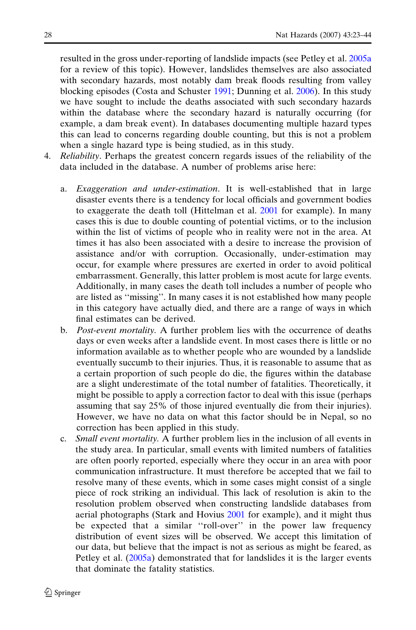resulted in the gross under-reporting of landslide impacts (see Petley et al. [2005a](#page-20-0) for a review of this topic). However, landslides themselves are also associated with secondary hazards, most notably dam break floods resulting from valley blocking episodes (Costa and Schuster [1991](#page-19-0); Dunning et al. [2006](#page-19-0)). In this study we have sought to include the deaths associated with such secondary hazards within the database where the secondary hazard is naturally occurring (for example, a dam break event). In databases documenting multiple hazard types this can lead to concerns regarding double counting, but this is not a problem when a single hazard type is being studied, as in this study.

- 4. Reliability. Perhaps the greatest concern regards issues of the reliability of the data included in the database. A number of problems arise here:
	- a. Exaggeration and under-estimation. It is well-established that in large disaster events there is a tendency for local officials and government bodies to exaggerate the death toll (Hittelman et al. [2001](#page-20-0) for example). In many cases this is due to double counting of potential victims, or to the inclusion within the list of victims of people who in reality were not in the area. At times it has also been associated with a desire to increase the provision of assistance and/or with corruption. Occasionally, under-estimation may occur, for example where pressures are exerted in order to avoid political embarrassment. Generally, this latter problem is most acute for large events. Additionally, in many cases the death toll includes a number of people who are listed as ''missing''. In many cases it is not established how many people in this category have actually died, and there are a range of ways in which final estimates can be derived.
	- b. Post-event mortality. A further problem lies with the occurrence of deaths days or even weeks after a landslide event. In most cases there is little or no information available as to whether people who are wounded by a landslide eventually succumb to their injuries. Thus, it is reasonable to assume that as a certain proportion of such people do die, the figures within the database are a slight underestimate of the total number of fatalities. Theoretically, it might be possible to apply a correction factor to deal with this issue (perhaps assuming that say 25% of those injured eventually die from their injuries). However, we have no data on what this factor should be in Nepal, so no correction has been applied in this study.
	- c. Small event mortality. A further problem lies in the inclusion of all events in the study area. In particular, small events with limited numbers of fatalities are often poorly reported, especially where they occur in an area with poor communication infrastructure. It must therefore be accepted that we fail to resolve many of these events, which in some cases might consist of a single piece of rock striking an individual. This lack of resolution is akin to the resolution problem observed when constructing landslide databases from aerial photographs (Stark and Hovius [2001](#page-21-0) for example), and it might thus be expected that a similar "roll-over" in the power law frequency distribution of event sizes will be observed. We accept this limitation of our data, but believe that the impact is not as serious as might be feared, as Petley et al. [\(2005a\)](#page-20-0) demonstrated that for landslides it is the larger events that dominate the fatality statistics.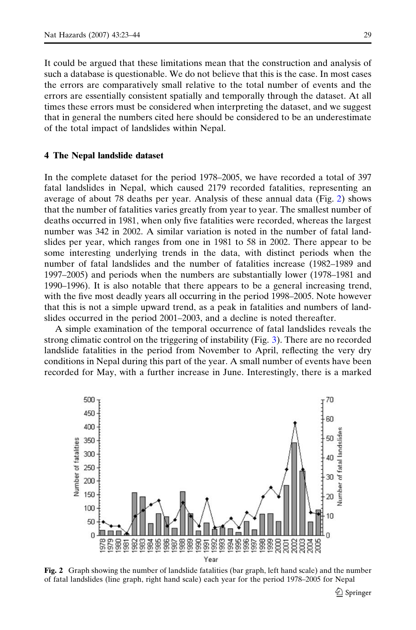It could be argued that these limitations mean that the construction and analysis of such a database is questionable. We do not believe that this is the case. In most cases the errors are comparatively small relative to the total number of events and the errors are essentially consistent spatially and temporally through the dataset. At all times these errors must be considered when interpreting the dataset, and we suggest that in general the numbers cited here should be considered to be an underestimate of the total impact of landslides within Nepal.

## 4 The Nepal landslide dataset

In the complete dataset for the period 1978–2005, we have recorded a total of 397 fatal landslides in Nepal, which caused 2179 recorded fatalities, representing an average of about 78 deaths per year. Analysis of these annual data (Fig. 2) shows that the number of fatalities varies greatly from year to year. The smallest number of deaths occurred in 1981, when only five fatalities were recorded, whereas the largest number was 342 in 2002. A similar variation is noted in the number of fatal landslides per year, which ranges from one in 1981 to 58 in 2002. There appear to be some interesting underlying trends in the data, with distinct periods when the number of fatal landslides and the number of fatalities increase (1982–1989 and 1997–2005) and periods when the numbers are substantially lower (1978–1981 and 1990–1996). It is also notable that there appears to be a general increasing trend, with the five most deadly years all occurring in the period 1998–2005. Note however that this is not a simple upward trend, as a peak in fatalities and numbers of landslides occurred in the period 2001–2003, and a decline is noted thereafter.

A simple examination of the temporal occurrence of fatal landslides reveals the strong climatic control on the triggering of instability (Fig. [3](#page-7-0)). There are no recorded landslide fatalities in the period from November to April, reflecting the very dry conditions in Nepal during this part of the year. A small number of events have been recorded for May, with a further increase in June. Interestingly, there is a marked



Fig. 2 Graph showing the number of landslide fatalities (bar graph, left hand scale) and the number of fatal landslides (line graph, right hand scale) each year for the period 1978–2005 for Nepal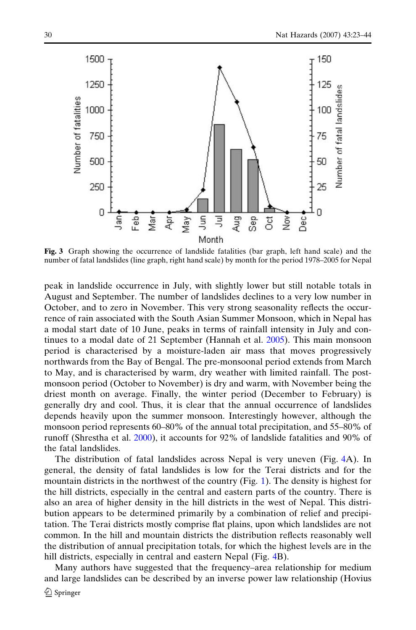<span id="page-7-0"></span>

Fig. 3 Graph showing the occurrence of landslide fatalities (bar graph, left hand scale) and the number of fatal landslides (line graph, right hand scale) by month for the period 1978–2005 for Nepal

peak in landslide occurrence in July, with slightly lower but still notable totals in August and September. The number of landslides declines to a very low number in October, and to zero in November. This very strong seasonality reflects the occurrence of rain associated with the South Asian Summer Monsoon, which in Nepal has a modal start date of 10 June, peaks in terms of rainfall intensity in July and continues to a modal date of 21 September (Hannah et al. [2005\)](#page-20-0). This main monsoon period is characterised by a moisture-laden air mass that moves progressively northwards from the Bay of Bengal. The pre-monsoonal period extends from March to May, and is characterised by warm, dry weather with limited rainfall. The postmonsoon period (October to November) is dry and warm, with November being the driest month on average. Finally, the winter period (December to February) is generally dry and cool. Thus, it is clear that the annual occurrence of landslides depends heavily upon the summer monsoon. Interestingly however, although the monsoon period represents 60–80% of the annual total precipitation, and 55–80% of runoff (Shrestha et al. [2000\)](#page-21-0), it accounts for 92% of landslide fatalities and 90% of the fatal landslides.

The distribution of fatal landslides across Nepal is very uneven (Fig. [4](#page-8-0)A). In general, the density of fatal landslides is low for the Terai districts and for the mountain districts in the northwest of the country (Fig. [1](#page-2-0)). The density is highest for the hill districts, especially in the central and eastern parts of the country. There is also an area of higher density in the hill districts in the west of Nepal. This distribution appears to be determined primarily by a combination of relief and precipitation. The Terai districts mostly comprise flat plains, upon which landslides are not common. In the hill and mountain districts the distribution reflects reasonably well the distribution of annual precipitation totals, for which the highest levels are in the hill districts, especially in central and eastern Nepal (Fig. [4B](#page-8-0)).

Many authors have suggested that the frequency–area relationship for medium and large landslides can be described by an inverse power law relationship (Hovius <sup>2</sup> Springer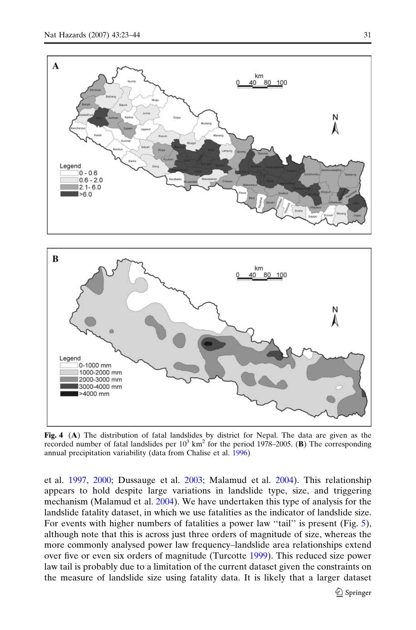<span id="page-8-0"></span>



Fig. 4 (A) The distribution of fatal landslides by district for Nepal. The data are given as the recorded number of fatal landslides per  $10<sup>3</sup>$  km<sup>2</sup> for the period 1978–2005. (B) The corresponding annual precipitation variability (data from Chalise et al. [1996](#page-19-0))

et al. [1997](#page-20-0), [2000;](#page-20-0) Dussauge et al. [2003](#page-19-0); Malamud et al. [2004](#page-20-0)). This relationship appears to hold despite large variations in landslide type, size, and triggering mechanism (Malamud et al. [2004\)](#page-20-0). We have undertaken this type of analysis for the landslide fatality dataset, in which we use fatalities as the indicator of landslide size. For events with higher numbers of fatalities a power law "tail" is present (Fig. [5\)](#page-9-0), although note that this is across just three orders of magnitude of size, whereas the more commonly analysed power law frequency–landslide area relationships extend over five or even six orders of magnitude (Turcotte [1999\)](#page-21-0). This reduced size power law tail is probably due to a limitation of the current dataset given the constraints on the measure of landslide size using fatality data. It is likely that a larger dataset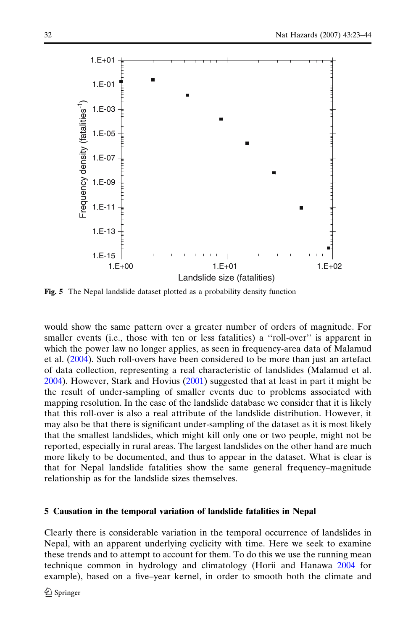<span id="page-9-0"></span>

Fig. 5 The Nepal landslide dataset plotted as a probability density function

would show the same pattern over a greater number of orders of magnitude. For smaller events (i.e., those with ten or less fatalities) a ''roll-over'' is apparent in which the power law no longer applies, as seen in frequency-area data of Malamud et al. [\(2004](#page-20-0)). Such roll-overs have been considered to be more than just an artefact of data collection, representing a real characteristic of landslides (Malamud et al. [2004\)](#page-20-0). However, Stark and Hovius ([2001\)](#page-21-0) suggested that at least in part it might be the result of under-sampling of smaller events due to problems associated with mapping resolution. In the case of the landslide database we consider that it is likely that this roll-over is also a real attribute of the landslide distribution. However, it may also be that there is significant under-sampling of the dataset as it is most likely that the smallest landslides, which might kill only one or two people, might not be reported, especially in rural areas. The largest landslides on the other hand are much more likely to be documented, and thus to appear in the dataset. What is clear is that for Nepal landslide fatalities show the same general frequency–magnitude relationship as for the landslide sizes themselves.

### 5 Causation in the temporal variation of landslide fatalities in Nepal

Clearly there is considerable variation in the temporal occurrence of landslides in Nepal, with an apparent underlying cyclicity with time. Here we seek to examine these trends and to attempt to account for them. To do this we use the running mean technique common in hydrology and climatology (Horii and Hanawa [2004](#page-20-0) for example), based on a five–year kernel, in order to smooth both the climate and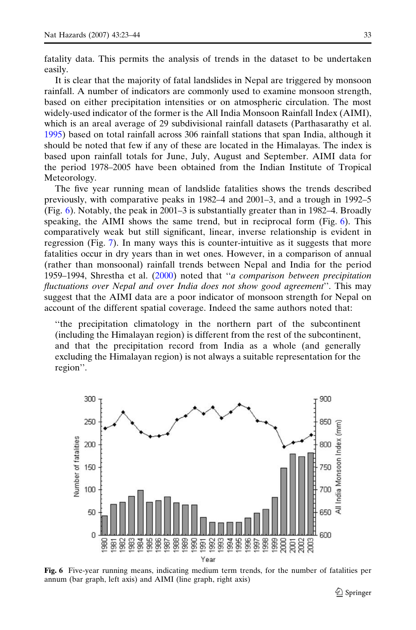fatality data. This permits the analysis of trends in the dataset to be undertaken easily.

It is clear that the majority of fatal landslides in Nepal are triggered by monsoon rainfall. A number of indicators are commonly used to examine monsoon strength, based on either precipitation intensities or on atmospheric circulation. The most widely-used indicator of the former is the All India Monsoon Rainfall Index (AIMI), which is an areal average of 29 subdivisional rainfall datasets (Parthasarathy et al. [1995\)](#page-20-0) based on total rainfall across 306 rainfall stations that span India, although it should be noted that few if any of these are located in the Himalayas. The index is based upon rainfall totals for June, July, August and September. AIMI data for the period 1978–2005 have been obtained from the Indian Institute of Tropical Meteorology.

The five year running mean of landslide fatalities shows the trends described previously, with comparative peaks in 1982–4 and 2001–3, and a trough in 1992–5 (Fig. 6). Notably, the peak in 2001–3 is substantially greater than in 1982–4. Broadly speaking, the AIMI shows the same trend, but in reciprocal form (Fig. 6). This comparatively weak but still significant, linear, inverse relationship is evident in regression (Fig. [7](#page-11-0)). In many ways this is counter-intuitive as it suggests that more fatalities occur in dry years than in wet ones. However, in a comparison of annual (rather than monsoonal) rainfall trends between Nepal and India for the period 1959–1994, Shrestha et al.  $(2000)$  $(2000)$  noted that "*a comparison between precipitation* fluctuations over Nepal and over India does not show good agreement''. This may suggest that the AIMI data are a poor indicator of monsoon strength for Nepal on account of the different spatial coverage. Indeed the same authors noted that:

''the precipitation climatology in the northern part of the subcontinent (including the Himalayan region) is different from the rest of the subcontinent, and that the precipitation record from India as a whole (and generally excluding the Himalayan region) is not always a suitable representation for the region''.



Fig. 6 Five-year running means, indicating medium term trends, for the number of fatalities per annum (bar graph, left axis) and AIMI (line graph, right axis)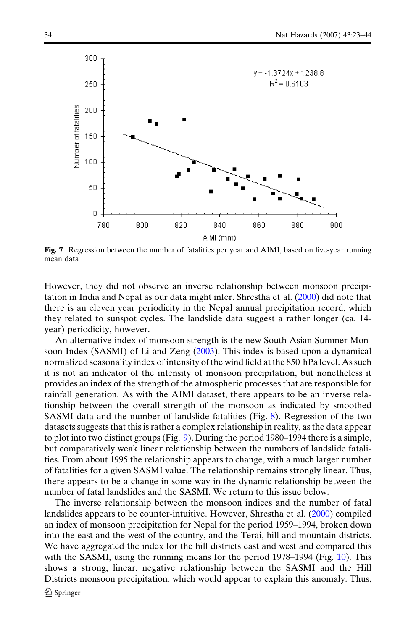<span id="page-11-0"></span>

Fig. 7 Regression between the number of fatalities per year and AIMI, based on five-year running mean data

However, they did not observe an inverse relationship between monsoon precipitation in India and Nepal as our data might infer. Shrestha et al. [\(2000\)](#page-21-0) did note that there is an eleven year periodicity in the Nepal annual precipitation record, which they related to sunspot cycles. The landslide data suggest a rather longer (ca. 14 year) periodicity, however.

An alternative index of monsoon strength is the new South Asian Summer Monsoon Index (SASMI) of Li and Zeng ([2003\)](#page-20-0). This index is based upon a dynamical normalized seasonality index of intensity of the wind field at the 850 hPa level. As such it is not an indicator of the intensity of monsoon precipitation, but nonetheless it provides an index of the strength of the atmospheric processes that are responsible for rainfall generation. As with the AIMI dataset, there appears to be an inverse relationship between the overall strength of the monsoon as indicated by smoothed SASMI data and the number of landslide fatalities (Fig. [8\)](#page-12-0). Regression of the two datasets suggests that this is rather a complex relationship in reality, as the data appear to plot into two distinct groups (Fig. [9\)](#page-12-0). During the period 1980–1994 there is a simple, but comparatively weak linear relationship between the numbers of landslide fatalities. From about 1995 the relationship appears to change, with a much larger number of fatalities for a given SASMI value. The relationship remains strongly linear. Thus, there appears to be a change in some way in the dynamic relationship between the number of fatal landslides and the SASMI. We return to this issue below.

The inverse relationship between the monsoon indices and the number of fatal landslides appears to be counter-intuitive. However, Shrestha et al. ([2000](#page-21-0)) compiled an index of monsoon precipitation for Nepal for the period 1959–1994, broken down into the east and the west of the country, and the Terai, hill and mountain districts. We have aggregated the index for the hill districts east and west and compared this with the SASMI, using the running means for the period 1978–1994 (Fig. [10](#page-13-0)). This shows a strong, linear, negative relationship between the SASMI and the Hill Districts monsoon precipitation, which would appear to explain this anomaly. Thus,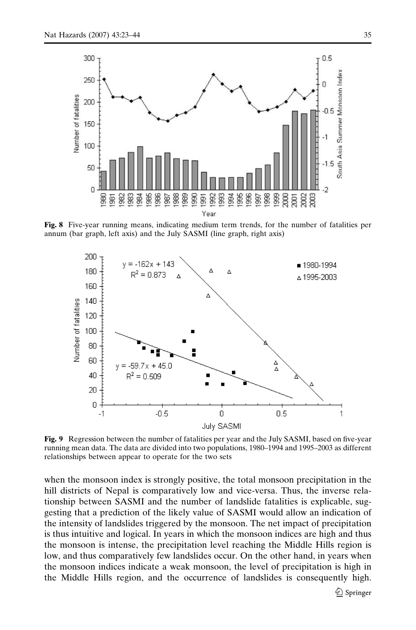<span id="page-12-0"></span>

Fig. 8 Five-year running means, indicating medium term trends, for the number of fatalities per annum (bar graph, left axis) and the July SASMI (line graph, right axis)



Fig. 9 Regression between the number of fatalities per year and the July SASMI, based on five-year running mean data. The data are divided into two populations, 1980–1994 and 1995–2003 as different relationships between appear to operate for the two sets

when the monsoon index is strongly positive, the total monsoon precipitation in the hill districts of Nepal is comparatively low and vice-versa. Thus, the inverse relationship between SASMI and the number of landslide fatalities is explicable, suggesting that a prediction of the likely value of SASMI would allow an indication of the intensity of landslides triggered by the monsoon. The net impact of precipitation is thus intuitive and logical. In years in which the monsoon indices are high and thus the monsoon is intense, the precipitation level reaching the Middle Hills region is low, and thus comparatively few landslides occur. On the other hand, in years when the monsoon indices indicate a weak monsoon, the level of precipitation is high in the Middle Hills region, and the occurrence of landslides is consequently high.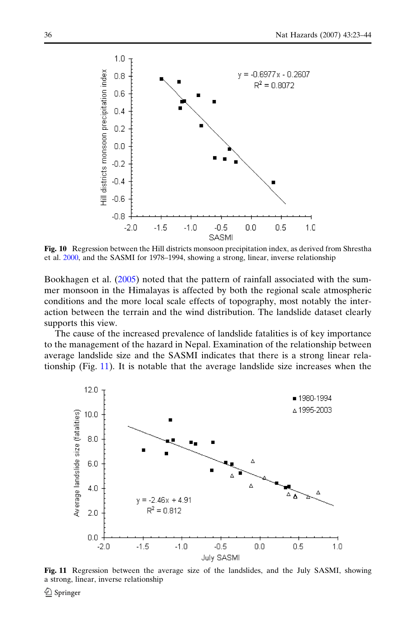<span id="page-13-0"></span>

Fig. 10 Regression between the Hill districts monsoon precipitation index, as derived from Shrestha et al. [2000,](#page-21-0) and the SASMI for 1978–1994, showing a strong, linear, inverse relationship

Bookhagen et al. ([2005\)](#page-19-0) noted that the pattern of rainfall associated with the summer monsoon in the Himalayas is affected by both the regional scale atmospheric conditions and the more local scale effects of topography, most notably the interaction between the terrain and the wind distribution. The landslide dataset clearly supports this view.

The cause of the increased prevalence of landslide fatalities is of key importance to the management of the hazard in Nepal. Examination of the relationship between average landslide size and the SASMI indicates that there is a strong linear relationship (Fig. 11). It is notable that the average landslide size increases when the



Fig. 11 Regression between the average size of the landslides, and the July SASMI, showing a strong, linear, inverse relationship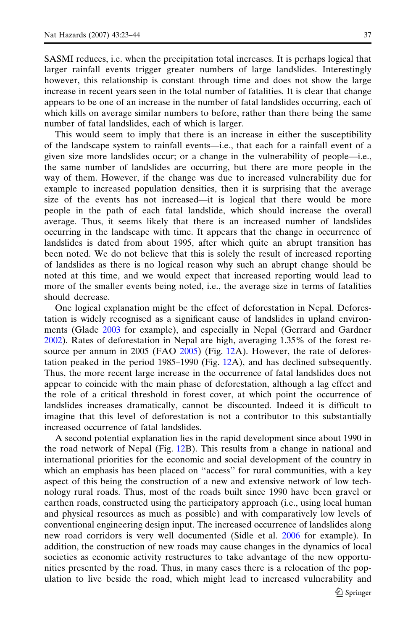SASMI reduces, i.e. when the precipitation total increases. It is perhaps logical that larger rainfall events trigger greater numbers of large landslides. Interestingly however, this relationship is constant through time and does not show the large increase in recent years seen in the total number of fatalities. It is clear that change appears to be one of an increase in the number of fatal landslides occurring, each of which kills on average similar numbers to before, rather than there being the same number of fatal landslides, each of which is larger.

This would seem to imply that there is an increase in either the susceptibility of the landscape system to rainfall events—i.e., that each for a rainfall event of a given size more landslides occur; or a change in the vulnerability of people—i.e., the same number of landslides are occurring, but there are more people in the way of them. However, if the change was due to increased vulnerability due for example to increased population densities, then it is surprising that the average size of the events has not increased—it is logical that there would be more people in the path of each fatal landslide, which should increase the overall average. Thus, it seems likely that there is an increased number of landslides occurring in the landscape with time. It appears that the change in occurrence of landslides is dated from about 1995, after which quite an abrupt transition has been noted. We do not believe that this is solely the result of increased reporting of landslides as there is no logical reason why such an abrupt change should be noted at this time, and we would expect that increased reporting would lead to more of the smaller events being noted, i.e., the average size in terms of fatalities should decrease.

One logical explanation might be the effect of deforestation in Nepal. Deforestation is widely recognised as a significant cause of landslides in upland environments (Glade [2003](#page-19-0) for example), and especially in Nepal (Gerrard and Gardner [2002\)](#page-19-0). Rates of deforestation in Nepal are high, averaging 1.35% of the forest re-source per annum in [2005](#page-19-0) (FAO 2005) (Fig. [12](#page-15-0)A). However, the rate of deforestation peaked in the period 1985–1990 (Fig. [12A](#page-15-0)), and has declined subsequently. Thus, the more recent large increase in the occurrence of fatal landslides does not appear to coincide with the main phase of deforestation, although a lag effect and the role of a critical threshold in forest cover, at which point the occurrence of landslides increases dramatically, cannot be discounted. Indeed it is difficult to imagine that this level of deforestation is not a contributor to this substantially increased occurrence of fatal landslides.

A second potential explanation lies in the rapid development since about 1990 in the road network of Nepal (Fig. [12B](#page-15-0)). This results from a change in national and international priorities for the economic and social development of the country in which an emphasis has been placed on "access" for rural communities, with a key aspect of this being the construction of a new and extensive network of low technology rural roads. Thus, most of the roads built since 1990 have been gravel or earthen roads, constructed using the participatory approach (i.e., using local human and physical resources as much as possible) and with comparatively low levels of conventional engineering design input. The increased occurrence of landslides along new road corridors is very well documented (Sidle et al. [2006](#page-21-0) for example). In addition, the construction of new roads may cause changes in the dynamics of local societies as economic activity restructures to take advantage of the new opportunities presented by the road. Thus, in many cases there is a relocation of the population to live beside the road, which might lead to increased vulnerability and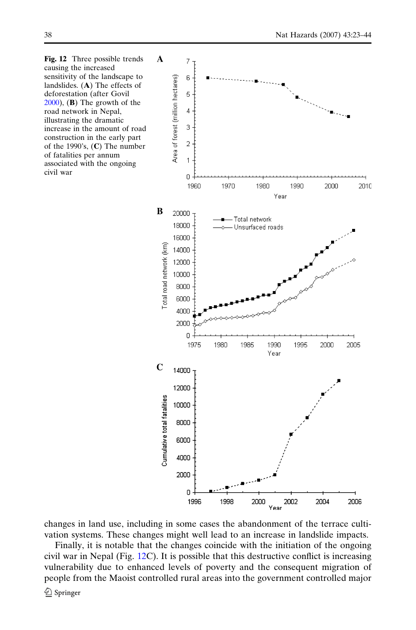

<span id="page-15-0"></span>Fig. 12 Three possible trends causing the increased sensitivity of the landscape to landslides. (A) The effects of deforestation (after Govil [2000\)](#page-20-0), (B) The growth of the road network in Nepal, illustrating the dramatic increase in the amount of road construction in the early part of the 1990's, (C) The number of fatalities per annum associated with the ongoing civil war

changes in land use, including in some cases the abandonment of the terrace cultivation systems. These changes might well lead to an increase in landslide impacts.

Finally, it is notable that the changes coincide with the initiation of the ongoing civil war in Nepal (Fig. 12C). It is possible that this destructive conflict is increasing vulnerability due to enhanced levels of poverty and the consequent migration of people from the Maoist controlled rural areas into the government controlled major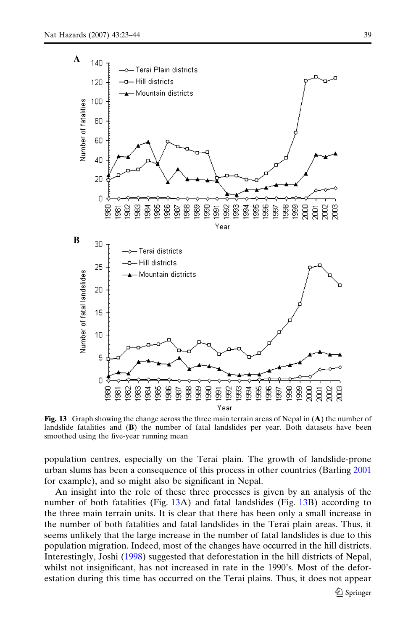

Fig. 13 Graph showing the change across the three main terrain areas of Nepal in (A) the number of landslide fatalities and  $(B)$  the number of fatal landslides per year. Both datasets have been smoothed using the five-year running mean

population centres, especially on the Terai plain. The growth of landslide-prone urban slums has been a consequence of this process in other countries (Barling [2001](#page-19-0) for example), and so might also be significant in Nepal.

An insight into the role of these three processes is given by an analysis of the number of both fatalities (Fig. 13A) and fatal landslides (Fig. 13B) according to the three main terrain units. It is clear that there has been only a small increase in the number of both fatalities and fatal landslides in the Terai plain areas. Thus, it seems unlikely that the large increase in the number of fatal landslides is due to this population migration. Indeed, most of the changes have occurred in the hill districts. Interestingly, Joshi ([1998](#page-20-0)) suggested that deforestation in the hill districts of Nepal, whilst not insignificant, has not increased in rate in the 1990's. Most of the deforestation during this time has occurred on the Terai plains. Thus, it does not appear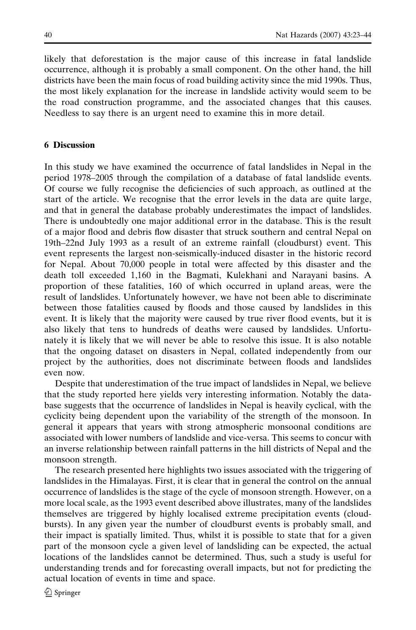likely that deforestation is the major cause of this increase in fatal landslide occurrence, although it is probably a small component. On the other hand, the hill districts have been the main focus of road building activity since the mid 1990s. Thus, the most likely explanation for the increase in landslide activity would seem to be the road construction programme, and the associated changes that this causes. Needless to say there is an urgent need to examine this in more detail.

## 6 Discussion

In this study we have examined the occurrence of fatal landslides in Nepal in the period 1978–2005 through the compilation of a database of fatal landslide events. Of course we fully recognise the deficiencies of such approach, as outlined at the start of the article. We recognise that the error levels in the data are quite large, and that in general the database probably underestimates the impact of landslides. There is undoubtedly one major additional error in the database. This is the result of a major flood and debris flow disaster that struck southern and central Nepal on 19th–22nd July 1993 as a result of an extreme rainfall (cloudburst) event. This event represents the largest non-seismically-induced disaster in the historic record for Nepal. About 70,000 people in total were affected by this disaster and the death toll exceeded 1,160 in the Bagmati, Kulekhani and Narayani basins. A proportion of these fatalities, 160 of which occurred in upland areas, were the result of landslides. Unfortunately however, we have not been able to discriminate between those fatalities caused by floods and those caused by landslides in this event. It is likely that the majority were caused by true river flood events, but it is also likely that tens to hundreds of deaths were caused by landslides. Unfortunately it is likely that we will never be able to resolve this issue. It is also notable that the ongoing dataset on disasters in Nepal, collated independently from our project by the authorities, does not discriminate between floods and landslides even now.

Despite that underestimation of the true impact of landslides in Nepal, we believe that the study reported here yields very interesting information. Notably the database suggests that the occurrence of landslides in Nepal is heavily cyclical, with the cyclicity being dependent upon the variability of the strength of the monsoon. In general it appears that years with strong atmospheric monsoonal conditions are associated with lower numbers of landslide and vice-versa. This seems to concur with an inverse relationship between rainfall patterns in the hill districts of Nepal and the monsoon strength.

The research presented here highlights two issues associated with the triggering of landslides in the Himalayas. First, it is clear that in general the control on the annual occurrence of landslides is the stage of the cycle of monsoon strength. However, on a more local scale, as the 1993 event described above illustrates, many of the landslides themselves are triggered by highly localised extreme precipitation events (cloudbursts). In any given year the number of cloudburst events is probably small, and their impact is spatially limited. Thus, whilst it is possible to state that for a given part of the monsoon cycle a given level of landsliding can be expected, the actual locations of the landslides cannot be determined. Thus, such a study is useful for understanding trends and for forecasting overall impacts, but not for predicting the actual location of events in time and space.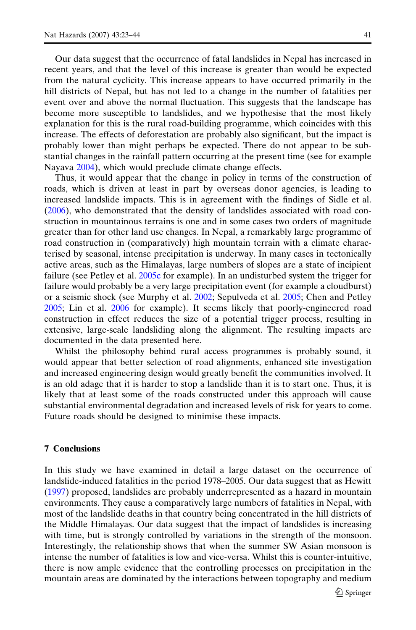Our data suggest that the occurrence of fatal landslides in Nepal has increased in recent years, and that the level of this increase is greater than would be expected from the natural cyclicity. This increase appears to have occurred primarily in the hill districts of Nepal, but has not led to a change in the number of fatalities per event over and above the normal fluctuation. This suggests that the landscape has become more susceptible to landslides, and we hypothesise that the most likely explanation for this is the rural road-building programme, which coincides with this increase. The effects of deforestation are probably also significant, but the impact is probably lower than might perhaps be expected. There do not appear to be substantial changes in the rainfall pattern occurring at the present time (see for example Nayava [2004\)](#page-20-0), which would preclude climate change effects.

Thus, it would appear that the change in policy in terms of the construction of roads, which is driven at least in part by overseas donor agencies, is leading to increased landslide impacts. This is in agreement with the findings of Sidle et al. [\(2006](#page-21-0)), who demonstrated that the density of landslides associated with road construction in mountainous terrains is one and in some cases two orders of magnitude greater than for other land use changes. In Nepal, a remarkably large programme of road construction in (comparatively) high mountain terrain with a climate characterised by seasonal, intense precipitation is underway. In many cases in tectonically active areas, such as the Himalayas, large numbers of slopes are a state of incipient failure (see Petley et al. [2005c](#page-20-0) for example). In an undisturbed system the trigger for failure would probably be a very large precipitation event (for example a cloudburst) or a seismic shock (see Murphy et al. [2002](#page-20-0); Sepulveda et al. [2005](#page-20-0); Chen and Petley [2005;](#page-19-0) Lin et al. [2006](#page-20-0) for example). It seems likely that poorly-engineered road construction in effect reduces the size of a potential trigger process, resulting in extensive, large-scale landsliding along the alignment. The resulting impacts are documented in the data presented here.

Whilst the philosophy behind rural access programmes is probably sound, it would appear that better selection of road alignments, enhanced site investigation and increased engineering design would greatly benefit the communities involved. It is an old adage that it is harder to stop a landslide than it is to start one. Thus, it is likely that at least some of the roads constructed under this approach will cause substantial environmental degradation and increased levels of risk for years to come. Future roads should be designed to minimise these impacts.

### 7 Conclusions

In this study we have examined in detail a large dataset on the occurrence of landslide-induced fatalities in the period 1978–2005. Our data suggest that as Hewitt [\(1997](#page-20-0)) proposed, landslides are probably underrepresented as a hazard in mountain environments. They cause a comparatively large numbers of fatalities in Nepal, with most of the landslide deaths in that country being concentrated in the hill districts of the Middle Himalayas. Our data suggest that the impact of landslides is increasing with time, but is strongly controlled by variations in the strength of the monsoon. Interestingly, the relationship shows that when the summer SW Asian monsoon is intense the number of fatalities is low and vice-versa. Whilst this is counter-intuitive, there is now ample evidence that the controlling processes on precipitation in the mountain areas are dominated by the interactions between topography and medium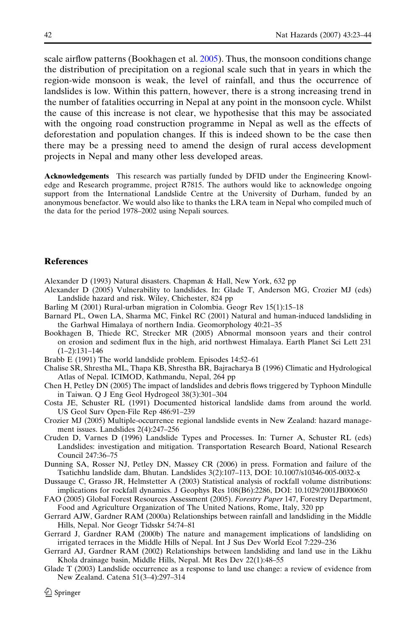<span id="page-19-0"></span>scale airflow patterns (Bookhagen et al. 2005). Thus, the monsoon conditions change the distribution of precipitation on a regional scale such that in years in which the region-wide monsoon is weak, the level of rainfall, and thus the occurrence of landslides is low. Within this pattern, however, there is a strong increasing trend in the number of fatalities occurring in Nepal at any point in the monsoon cycle. Whilst the cause of this increase is not clear, we hypothesise that this may be associated with the ongoing road construction programme in Nepal as well as the effects of deforestation and population changes. If this is indeed shown to be the case then there may be a pressing need to amend the design of rural access development projects in Nepal and many other less developed areas.

Acknowledgements This research was partially funded by DFID under the Engineering Knowledge and Research programme, project R7815. The authors would like to acknowledge ongoing support from the International Landslide Centre at the University of Durham, funded by an anonymous benefactor. We would also like to thanks the LRA team in Nepal who compiled much of the data for the period 1978–2002 using Nepali sources.

# **References**

Alexander D (1993) Natural disasters. Chapman & Hall, New York, 632 pp

- Alexander D (2005) Vulnerability to landslides. In: Glade T, Anderson MG, Crozier MJ (eds) Landslide hazard and risk. Wiley, Chichester, 824 pp
- Barling M (2001) Rural-urban migration in Colombia. Geogr Rev 15(1):15–18
- Barnard PL, Owen LA, Sharma MC, Finkel RC (2001) Natural and human-induced landsliding in the Garhwal Himalaya of northern India. Geomorphology 40:21–35
- Bookhagen B, Thiede RC, Strecker MR (2005) Abnormal monsoon years and their control on erosion and sediment flux in the high, arid northwest Himalaya. Earth Planet Sci Lett 231 (1–2):131–146
- Brabb E (1991) The world landslide problem. Episodes 14:52–61
- Chalise SR, Shrestha ML, Thapa KB, Shrestha BR, Bajracharya B (1996) Climatic and Hydrological Atlas of Nepal. ICIMOD, Kathmandu, Nepal, 264 pp
- Chen H, Petley DN (2005) The impact of landslides and debris flows triggered by Typhoon Mindulle in Taiwan. Q J Eng Geol Hydrogeol 38(3):301–304
- Costa JE, Schuster RL (1991) Documented historical landslide dams from around the world. US Geol Surv Open-File Rep 486:91–239
- Crozier MJ (2005) Multiple-occurrence regional landslide events in New Zealand: hazard management issues. Landslides 2(4):247–256
- Cruden D, Varnes D (1996) Landslide Types and Processes. In: Turner A, Schuster RL (eds) Landslides: investigation and mitigation. Transportation Research Board, National Research Council 247:36–75
- Dunning SA, Rosser NJ, Petley DN, Massey CR (2006) in press. Formation and failure of the Tsatichhu landslide dam, Bhutan. Landslides 3(2):107–113, DOI: 10.1007/s10346-005-0032-x
- Dussauge C, Grasso JR, Helmstetter A (2003) Statistical analysis of rockfall volume distributions: implications for rockfall dynamics. J Geophys Res 108(B6):2286, DOI: 10.1029/2001JB000650
- FAO (2005) Global Forest Resources Assessment (2005). Forestry Paper 147, Forestry Department, Food and Agriculture Organization of The United Nations, Rome, Italy, 320 pp
- Gerrard AJW, Gardner RAM (2000a) Relationships between rainfall and landsliding in the Middle Hills, Nepal. Nor Geogr Tidsskr 54:74–81
- Gerrard J, Gardner RAM (2000b) The nature and management implications of landsliding on irrigated terraces in the Middle Hills of Nepal. Int J Sus Dev World Ecol 7:229–236
- Gerrard AJ, Gardner RAM (2002) Relationships between landsliding and land use in the Likhu Khola drainage basin, Middle Hills, Nepal. Mt Res Dev 22(1):48–55
- Glade T (2003) Landslide occurrence as a response to land use change: a review of evidence from New Zealand. Catena 51(3–4):297–314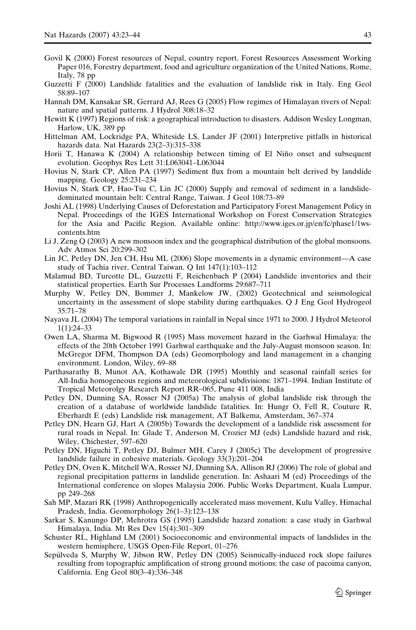- <span id="page-20-0"></span>Govil K (2000) Forest resources of Nepal, country report. Forest Resources Assessment Working Paper 016, Forestry department, food and agriculture organization of the United Nations, Rome, Italy, 78 pp
- Guzzetti F (2000) Landslide fatalities and the evaluation of landslide risk in Italy. Eng Geol 58:89–107
- Hannah DM, Kansakar SR, Gerrard AJ, Rees G (2005) Flow regimes of Himalayan rivers of Nepal: nature and spatial patterns. J Hydrol 308:18–32
- Hewitt K (1997) Regions of risk: a geographical introduction to disasters. Addison Wesley Longman, Harlow, UK, 389 pp
- Hittelman AM, Lockridge PA, Whiteside LS, Lander JF (2001) Interpretive pitfalls in historical hazards data. Nat Hazards 23(2–3):315–338
- Horii T, Hanawa K (2004) A relationship between timing of El Niño onset and subsequent evolution. Geophys Res Lett 31:L063041–L063044
- Hovius N, Stark CP, Allen PA (1997) Sediment flux from a mountain belt derived by landslide mapping. Geology 25:231–234
- Hovius N, Stark CP, Hao-Tsu C, Lin JC (2000) Supply and removal of sediment in a landslidedominated mountain belt: Central Range, Taiwan. J Geol 108:73–89
- Joshi AL (1998) Underlying Causes of Deforestation and Participatory Forest Management Policy in Nepal. Proceedings of the IGES International Workshop on Forest Conservation Strategies for the Asia and Pacific Region. Available online: http://www.iges.or.jp/en/fc/phase1/1wscontents.htm
- Li J, Zeng Q (2003) A new monsoon index and the geographical distribution of the global monsoons. Adv Atmos Sci 20:299–302
- Lin JC, Petley DN, Jen CH, Hsu ML (2006) Slope movements in a dynamic environment—A case study of Tachia river, Central Taiwan. Q Int 147(1):103–112
- Malamud BD, Turcotte DL, Guzzetti F, Reichenbach P (2004) Landslide inventories and their statistical properties. Earth Sur Processes Landforms 29:687–711
- Murphy W, Petley DN, Bommer J, Mankelow JW, (2002) Geotechnical and seismological uncertainty in the assessment of slope stability during earthquakes. Q J Eng Geol Hydrogeol 35:71–78
- Nayava JL (2004) The temporal variations in rainfall in Nepal since 1971 to 2000. J Hydrol Meteorol 1(1):24–33
- Owen LA, Sharma M, Bigwood R (1995) Mass movement hazard in the Garhwal Himalaya: the effects of the 20th October 1991 Garhwal earthquake and the July-August monsoon season. In: McGregor DFM, Thompson DA (eds) Geomorphology and land management in a changing environment. London, Wiley, 69–88
- Parthasarathy B, Munot AA, Kothawale DR (1995) Monthly and seasonal rainfall series for All-India homogeneous regions and meteorological subdivisions: 1871–1994. Indian Institute of Tropical Meteorolgy Research Report RR–065, Pune 411 008, India
- Petley DN, Dunning SA, Rosser NJ (2005a) The analysis of global landslide risk through the creation of a database of worldwide landslide fatalities. In: Hungr O, Fell R, Couture R, Eberhardt E (eds) Landslide risk management, AT Balkema, Amsterdam, 367–374
- Petley DN, Hearn GJ, Hart A (2005b) Towards the development of a landslide risk assessment for rural roads in Nepal. In: Glade T, Anderson M, Crozier MJ (eds) Landslide hazard and risk, Wiley, Chichester, 597–620
- Petley DN, Higuchi T, Petley DJ, Bulmer MH, Carey J (2005c) The development of progressive landslide failure in cohesive materials. Geology 33(3):201–204
- Petley DN, Oven K, Mitchell WA, Rosser NJ, Dunning SA, Allison RJ (2006) The role of global and regional precipitation patterns in landslide generation. In: Ashaari M (ed) Proceedings of the International conference on slopes Malaysia 2006. Public Works Department, Kuala Lumpur, pp 249–268
- Sah MP, Mazari RK (1998) Anthropogenically accelerated mass movement, Kulu Valley, Himachal Pradesh, India. Geomorphology 26(1–3):123–138
- Sarkar S, Kanungo DP, Mehrotra GS (1995) Landslide hazard zonation: a case study in Garhwal Himalaya, India. Mt Res Dev 15(4):301–309
- Schuster RL, Highland LM (2001) Socioeconomic and environmental impacts of landslides in the western hemisphere, USGS Open-File Report, 01–276
- Sepúlveda S, Murphy W, Jibson RW, Petley DN (2005) Seismically-induced rock slope failures resulting from topographic amplification of strong ground motions: the case of pacoima canyon, California. Eng Geol 80(3–4):336–348